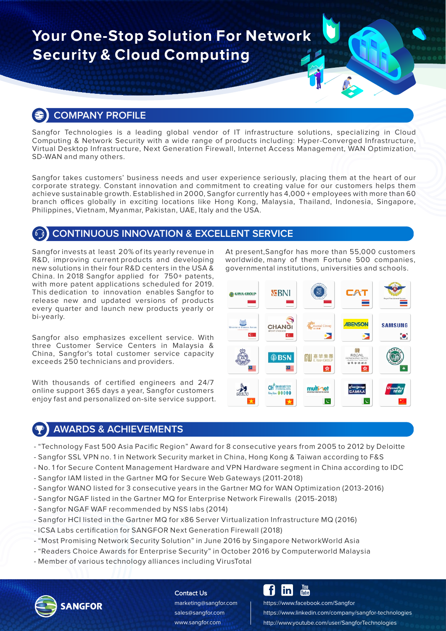# **Your One-Stop Solution For Network Security & Cloud Computing**

# **COMPANY PROFILE**

Sangfor Technologies is a leading global vendor of IT infrastructure solutions, specializing in Cloud Computing & Network Security with a wide range of products including: Hyper-Converged Infrastructure, Virtual Desktop Infrastructure, Next Generation Firewall, Internet Access Management, WAN Optimization, SD-WAN and many others.

Sangfor takes customers' business needs and user experience seriously, placing them at the heart of our corporate strategy. Constant innovation and commitment to creating value for our customers helps them achieve sustainable growth. Established in 2000, Sangfor currently has 4,000 + employees with more than 60 branch offices globally in exciting locations like Hong Kong, Malaysia, Thailand, Indonesia, Singapore, Philippines, Vietnam, Myanmar, Pakistan, UAE, Italy and the USA.

## **CONTINUOUS INNOVATION & EXCELLENT SERVICE**

Sangfor invests at least 20% of its yearly revenue in R&D, improving current products and developing new solutions in their four R&D centers in the USA & China. In 2018 Sangfor applied for 750+ patents, with more patent applications scheduled for 2019. This dedication to innovation enables Sangfor to release new and updated versions of products every quarter and launch new products yearly or bi-yearly.

Sangfor also emphasizes excellent service. With three Customer Service Centers in Malaysia & China, Sangfor's total customer service capacity exceeds 250 technicians and providers.

With thousands of certified engineers and 24/7 online support 365 days a year, Sangfor customers enjoy fast and personalized on-site service support.

At present,Sangfor has more than 55,000 customers worldwide, many of them Fortune 500 companies, governmental institutions, universities and schools.



# **AWARDS & ACHIEVEMENTS**

- "Technology Fast 500 Asia Pacific Region" Award for 8 consecutive years from 2005 to 2012 by Deloitte
- Sangfor SSL VPN no. 1 in Network Security market in China, Hong Kong & Taiwan according to F&S
- No. 1 for Secure Content Management Hardware and VPN Hardware segment in China according to IDC
- Sangfor IAM listed in the Gartner MQ for Secure Web Gateways (2011-2018)
- Sangfor WANO listed for 3 consecutive years in the Gartner MQ for WAN Optimization (2013-2016)
- Sangfor NGAF listed in the Gartner MQ for Enterprise Network Firewalls (2015-2018)
- Sangfor NGAF WAF recommended by NSS labs (2014)
- Sangfor HCI listed in the Gartner MQ for x86 Server Virtualization Infrastructure MQ (2016)
- ICSA Labs certification for SANGFOR Next Generation Firewall (2018)
- "Most Promising Network Security Solution" in June 2016 by Singapore NetworkWorld Asia
- "Readers Choice Awards for Enterprise Security" in October 2016 by Computerworld Malaysia
- Member of various technology alliances including VirusTotal



#### Contact Us

www.sangfor.com sales@sangfor.com marketing@sangfor.com

#### **You**<br>Tube f lin

https://www.facebook.com/Sangfor https://www.linkedin.com/company/sangfor-technologies http://www.youtube.com/user/SangforTechnologies